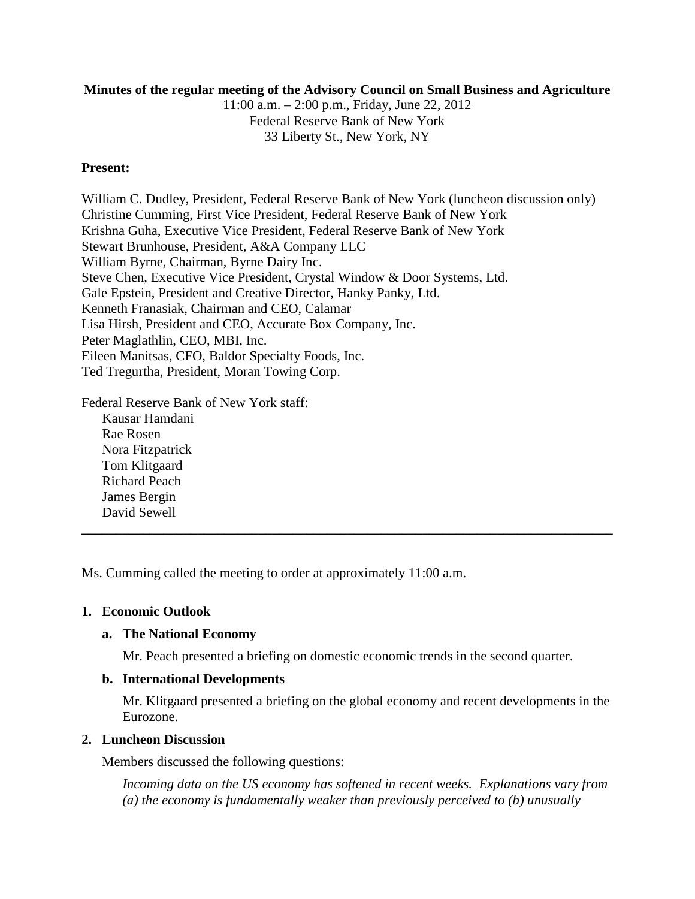#### **Minutes of the regular meeting of the Advisory Council on Small Business and Agriculture**

11:00 a.m. – 2:00 p.m., Friday, June 22, 2012 Federal Reserve Bank of New York 33 Liberty St., New York, NY

#### **Present:**

William C. Dudley, President, Federal Reserve Bank of New York (luncheon discussion only) Christine Cumming, First Vice President, Federal Reserve Bank of New York Krishna Guha, Executive Vice President, Federal Reserve Bank of New York Stewart Brunhouse, President, A&A Company LLC William Byrne, Chairman, Byrne Dairy Inc. Steve Chen, Executive Vice President, Crystal Window & Door Systems, Ltd. Gale Epstein, President and Creative Director, Hanky Panky, Ltd. Kenneth Franasiak, Chairman and CEO, Calamar Lisa Hirsh, President and CEO, Accurate Box Company, Inc. Peter Maglathlin, CEO, MBI, Inc. Eileen Manitsas, CFO, Baldor Specialty Foods, Inc. Ted Tregurtha, President, Moran Towing Corp.

Federal Reserve Bank of New York staff:

Kausar Hamdani Rae Rosen Nora Fitzpatrick Tom Klitgaard Richard Peach James Bergin David Sewell

Ms. Cumming called the meeting to order at approximately 11:00 a.m.

# **1. Economic Outlook**

# **a. The National Economy**

Mr. Peach presented a briefing on domestic economic trends in the second quarter.

**\_\_\_\_\_\_\_\_\_\_\_\_\_\_\_\_\_\_\_\_\_\_\_\_\_\_\_\_\_\_\_\_\_\_\_\_\_\_\_\_\_\_\_\_\_\_\_\_\_\_\_\_\_\_\_\_\_\_\_\_\_\_\_\_\_\_\_\_\_\_\_\_\_\_\_\_\_\_**

#### **b. International Developments**

Mr. Klitgaard presented a briefing on the global economy and recent developments in the Eurozone.

# **2. Luncheon Discussion**

Members discussed the following questions:

*Incoming data on the US economy has softened in recent weeks. Explanations vary from (a) the economy is fundamentally weaker than previously perceived to (b) unusually*